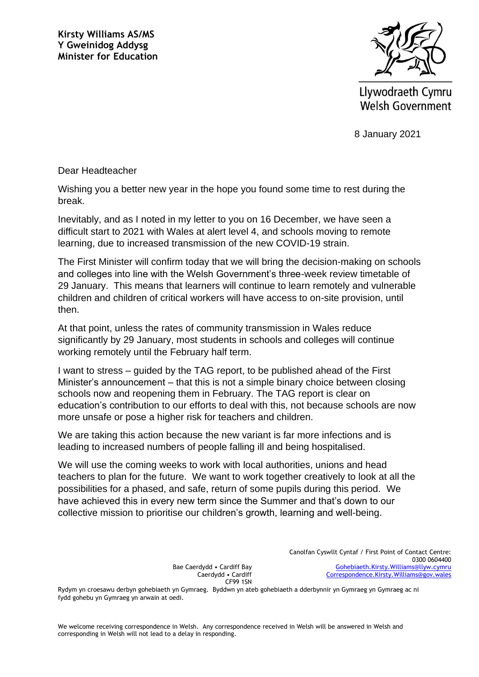

Llywodraeth Cymru **Welsh Government** 

8 January 2021

Dear Headteacher

Wishing you a better new year in the hope you found some time to rest during the break.

Inevitably, and as I noted in my letter to you on 16 December, we have seen a difficult start to 2021 with Wales at alert level 4, and schools moving to remote learning, due to increased transmission of the new COVID-19 strain.

The First Minister will confirm today that we will bring the decision-making on schools and colleges into line with the Welsh Government's three-week review timetable of 29 January. This means that learners will continue to learn remotely and vulnerable children and children of critical workers will have access to on-site provision, until then.

At that point, unless the rates of community transmission in Wales reduce significantly by 29 January, most students in schools and colleges will continue working remotely until the February half term.

I want to stress – guided by the TAG report, to be published ahead of the First Minister's announcement – that this is not a simple binary choice between closing schools now and reopening them in February. The TAG report is clear on education's contribution to our efforts to deal with this, not because schools are now more unsafe or pose a higher risk for teachers and children.

We are taking this action because the new variant is far more infections and is leading to increased numbers of people falling ill and being hospitalised.

We will use the coming weeks to work with local authorities, unions and head teachers to plan for the future. We want to work together creatively to look at all the possibilities for a phased, and safe, return of some pupils during this period. We have achieved this in every new term since the Summer and that's down to our collective mission to prioritise our children's growth, learning and well-being.

> Canolfan Cyswllt Cyntaf / First Point of Contact Centre: 0300 0604400 [Gohebiaeth.Kirsty.Williams@llyw.cymru](mailto:Gohebiaeth.Kirsty.Williams@llyw.cymru)  [Correspondence.Kirsty.Williams@gov.wales](mailto:Correspondence.Kirsty.Williams@gov.wales)

Bae Caerdydd • Cardiff Bay Caerdydd • Cardiff CF99 1SN

Rydym yn croesawu derbyn gohebiaeth yn Gymraeg. Byddwn yn ateb gohebiaeth a dderbynnir yn Gymraeg yn Gymraeg ac ni fydd gohebu yn Gymraeg yn arwain at oedi.

We welcome receiving correspondence in Welsh. Any correspondence received in Welsh will be answered in Welsh and corresponding in Welsh will not lead to a delay in responding.